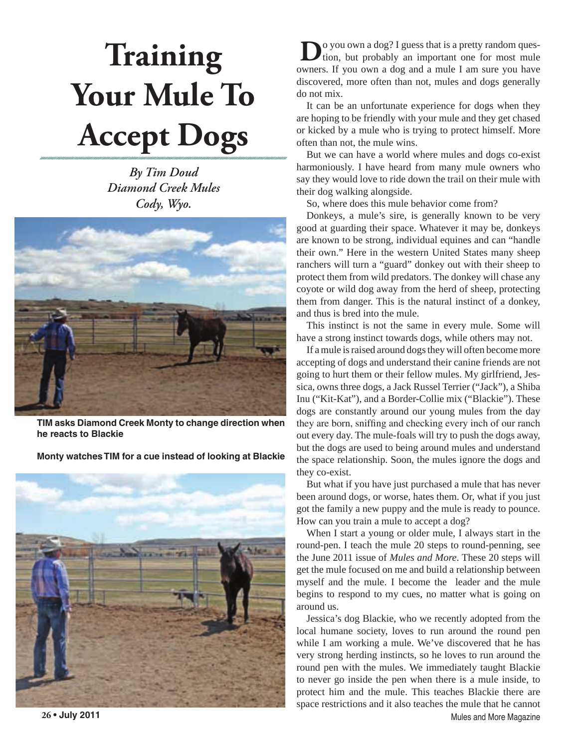## **Training Your Mule To Accept Dogs**

*By Tim Doud Diamond Creek Mules Cody, Wyo.*



**TIM asks Diamond Creek Monty to change direction when he reacts to Blackie**

**Monty watches TIM for a cue instead of looking at Blackie**



**D**o you own a dog? I guess that is a pretty random question, but probably an important one for most nule owners. If you own a dog and a mule I am sure you have discovered, more often than not, mules and dogs generally do not mix.

It can be an unfortunate experience for dogs when they are hoping to be friendly with your mule and they get chased or kicked by a mule who is trying to protect himself. More often than not, the mule wins.

But we can have a world where mules and dogs co-exist harmoniously. I have heard from many mule owners who say they would love to ride down the trail on their mule with their dog walking alongside.

So, where does this mule behavior come from?

Donkeys, a mule's sire, is generally known to be very good at guarding their space. Whatever it may be, donkeys are known to be strong, individual equines and can "handle their own." Here in the western United States many sheep ranchers will turn a "guard" donkey out with their sheep to protect them from wild predators. The donkey will chase any coyote or wild dog away from the herd of sheep, protecting them from danger. This is the natural instinct of a donkey, and thus is bred into the mule.

This instinct is not the same in every mule. Some will have a strong instinct towards dogs, while others may not.

If a mule is raised around dogs they will often become more accepting of dogs and understand their canine friends are not going to hurt them or their fellow mules. My girlfriend, Jessica, owns three dogs, a Jack Russel Terrier ("Jack"), a Shiba Inu ("Kit-Kat"), and a Border-Collie mix ("Blackie"). These dogs are constantly around our young mules from the day they are born, sniffing and checking every inch of our ranch out every day. The mule-foals will try to push the dogs away, but the dogs are used to being around mules and understand the space relationship. Soon, the mules ignore the dogs and they co-exist.

But what if you have just purchased a mule that has never been around dogs, or worse, hates them. Or, what if you just got the family a new puppy and the mule is ready to pounce. How can you train a mule to accept a dog?

When I start a young or older mule, I always start in the round-pen. I teach the mule 20 steps to round-penning, see the June 2011 issue of *Mules and More*. These 20 steps will get the mule focused on me and build a relationship between myself and the mule. I become the leader and the mule begins to respond to my cues, no matter what is going on around us.

**26 • July 2011** Mules and More Magazine Jessica's dog Blackie, who we recently adopted from the local humane society, loves to run around the round pen while I am working a mule. We've discovered that he has very strong herding instincts, so he loves to run around the round pen with the mules. We immediately taught Blackie to never go inside the pen when there is a mule inside, to protect him and the mule. This teaches Blackie there are space restrictions and it also teaches the mule that he cannot